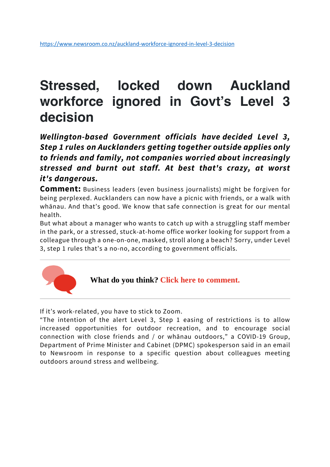### **Stressed, locked down Auckland workforce ignored in Govt's Level 3 decision**

*Wellington-based Government officials have decided Level 3, Step 1 rules on Aucklanders getting together outside applies only to friends and family, not companies worried about increasingly stressed and burnt out staff. At best that's crazy, at worst it's dangerous.*

**Comment:** Business leaders (even business journalists) might be forgiven for being perplexed. Aucklanders can now have a picnic with friends, or a walk with whānau. And that's good. We know that safe connection is great for our mental health.

But what about a manager who wants to catch up with a struggling staff member in the park, or a stressed, stuck-at-home office worker looking for support from a colleague through a one-on-one, masked, stroll along a beach? Sorry, under Level 3, step 1 rules that's a no-no, according to government officials.



#### What do you think? Click here to comment.

If it's work-related, you have to stick to Zoom.

"The intention of the alert Level 3, Step 1 easing of restrictions is to allow increased opportunities for outdoor recreation, and to encourage social connection with close friends and / or whānau outdoors," a COVID-19 Group, Department of Prime Minister and Cabinet (DPMC) spokesperson said in an email to Newsroom in response to a specific question about colleagues meeting outdoors around stress and wellbeing.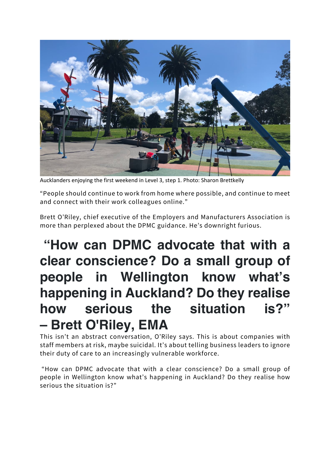

Aucklanders enjoying the first weekend in Level 3, step 1. Photo: Sharon Brettkelly

"People should continue to work from home where possible, and continue to meet and connect with their work colleagues online."

Brett O'Riley, chief executive of the Employers and Manufacturers Association is more than perplexed about the DPMC guidance. He's downright furious.

# **"How can DPMC advocate that with a clear conscience? Do a small group of people in Wellington know what's happening in Auckland? Do they realise how serious the situation is?" – Brett O'Riley, EMA**

This isn't an abstract conversation, O'Riley says. This is about companies with staff members at risk, maybe suicidal. It's about telling business leaders to ignore their duty of care to an increasingly vulnerable workforce.

"How can DPMC advocate that with a clear conscience? Do a small group of people in Wellington know what's happening in Auckland? Do they realise how serious the situation is?"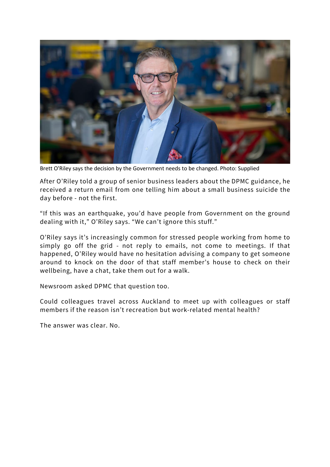

Brett O'Riley says the decision by the Government needs to be changed. Photo: Supplied

After O'Riley told a group of senior business leaders about the DPMC guidance, he received a return email from one telling him about a small business suicide the day before - not the first.

"If this was an earthquake, you'd have people from Government on the ground dealing with it," O'Riley says. "We can't ignore this stuff."

O'Riley says it's increasingly common for stressed people working from home to simply go off the grid - not reply to emails, not come to meetings. If that happened, O'Riley would have no hesitation advising a company to get someone around to knock on the door of that staff member's house to check on their wellbeing, have a chat, take them out for a walk.

Newsroom asked DPMC that question too.

Could colleagues travel across Auckland to meet up with colleagues or staff members if the reason isn't recreation but work-related mental health?

The answer was clear. No.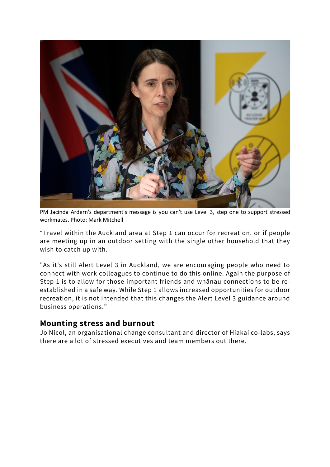

PM Jacinda Ardern's department's message is you can't use Level 3, step one to support stressed workmates. Photo: Mark Mitchell

"Travel within the Auckland area at Step 1 can occur for recreation, or if people are meeting up in an outdoor setting with the single other household that they wish to catch up with.

"As it's still Alert Level 3 in Auckland, we are encouraging people who need to connect with work colleagues to continue to do this online. Again the purpose of Step 1 is to allow for those important friends and whānau connections to be reestablished in a safe way. While Step 1 allows increased opportunities for outdoor recreation, it is not intended that this changes the Alert Level 3 guidance around business operations."

#### **Mounting stress and burnout**

Jo Nicol, an organisational change consultant and director of Hiakai co-labs, says there are a lot of stressed executives and team members out there.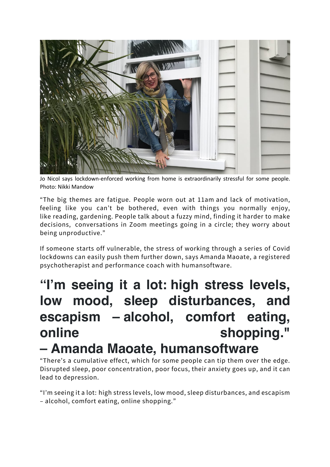

Jo Nicol says lockdown-enforced working from home is extraordinarily stressful for some people. Photo: Nikki Mandow

"The big themes are fatigue. People worn out at 11am and lack of motivation, feeling like you can't be bothered, even with things you normally enjoy, like reading, gardening. People talk about a fuzzy mind, finding it harder to make decisions, conversations in Zoom meetings going in a circle; they worry about being unproductive."

If someone starts off vulnerable, the stress of working through a series of Covid lockdowns can easily push them further down, says Amanda Maoate, a registered psychotherapist and performance coach with humansoftware.

# **"I'm seeing it a lot: high stress levels, low mood, sleep disturbances, and escapism – alcohol, comfort eating, online** shopping." **– Amanda Maoate, humansoftware**

"There's a cumulative effect, which for some people can tip them over the edge. Disrupted sleep, poor concentration, poor focus, their anxiety goes up, and it can lead to depression.

"I'm seeing it a lot: high stress levels, low mood, sleep disturbances, and escapism – alcohol, comfort eating, online shopping."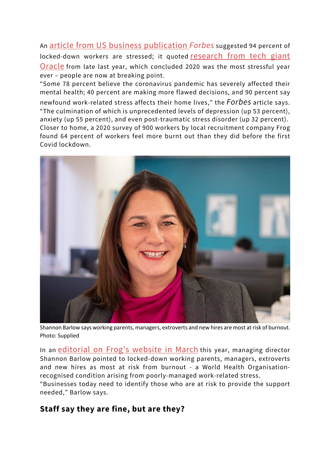An article from US business publication *Forbes* suggested 94 percent of locked-down workers are stressed; it quoted research from tech giant Oracle from late last year, which concluded 2020 was the most stressful year ever – people are now at breaking point.

"Some 78 percent believe the coronavirus pandemic has severely affected their mental health; 40 percent are making more flawed decisions, and 90 percent say newfound work-related stress affects their home lives," the *Forbes* article says. "The culmination of which is unprecedented levels of depression (up 53 percent), anxiety (up 55 percent), and even post-traumatic stress disorder (up 32 percent). Closer to home, a 2020 survey of 900 workers by local recruitment company Frog found 64 percent of workers feel more burnt out than they did before the first Covid lockdown.



Shannon Barlow says working parents, managers, extroverts and new hires are most at risk of burnout. Photo: Supplied

In an editorial on Frog's website in March this year, managing director Shannon Barlow pointed to locked-down working parents, managers, extroverts and new hires as most at risk from burnout - a World Health Organisationrecognised condition arising from poorly-managed work-related stress.

"Businesses today need to identify those who are at risk to provide the support needed," Barlow says.

#### **Staff say they are fine, but are they?**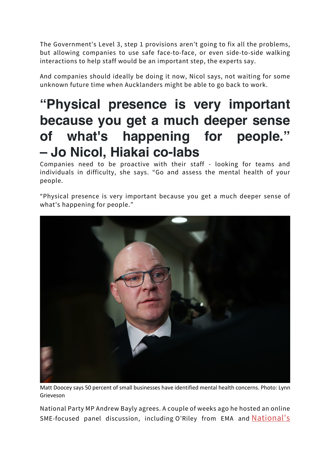The Government's Level 3, step 1 provisions aren't going to fix all the problems, but allowing companies to use safe face-to-face, or even side-to-side walking interactions to help staff would be an important step, the experts say.

And companies should ideally be doing it now, Nicol says, not waiting for some unknown future time when Aucklanders might be able to go back to work.

# **"Physical presence is very important because you get a much deeper sense of what's happening for people." – Jo Nicol, Hiakai co-labs**

Companies need to be proactive with their staff - looking for teams and individuals in difficulty, she says. "Go and assess the mental health of your people.

"Physical presence is very important because you get a much deeper sense of what's happening for people."



Matt Doocey says 50 percent of small businesses have identified mental health concerns. Photo: Lynn Grieveson

National Party MP Andrew Bayly agrees. A couple of weeks ago he hosted an online SME-focused panel discussion, including O'Riley from EMA and National's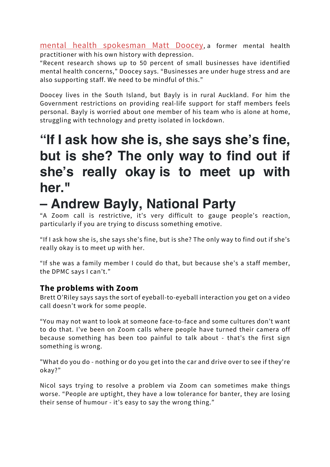mental health spokesman Matt Doocey, a former mental health practitioner with his own history with depression.

"Recent research shows up to 50 percent of small businesses have identified mental health concerns," Doocey says. "Businesses are under huge stress and are also supporting staff. We need to be mindful of this."

Doocey lives in the South Island, but Bayly is in rural Auckland. For him the Government restrictions on providing real-life support for staff members feels personal. Bayly is worried about one member of his team who is alone at home, struggling with technology and pretty isolated in lockdown.

# **"If I ask how she is, she says she's fine, but is she? The only way to find out if she's really okay is to meet up with her."**

# **– Andrew Bayly, National Party**

"A Zoom call is restrictive, it's very difficult to gauge people's reaction, particularly if you are trying to discuss something emotive.

"If I ask how she is, she says she's fine, but is she? The only way to find out if she's really okay is to meet up with her.

"If she was a family member I could do that, but because she's a staff member, the DPMC says I can't."

#### **The problems with Zoom**

Brett O'Riley says says the sort of eyeball-to-eyeball interaction you get on a video call doesn't work for some people.

"You may not want to look at someone face-to-face and some cultures don't want to do that. I've been on Zoom calls where people have turned their camera off because something has been too painful to talk about - that's the first sign something is wrong.

"What do you do - nothing or do you get into the car and drive over to see if they're okay?"

Nicol says trying to resolve a problem via Zoom can sometimes make things worse. "People are uptight, they have a low tolerance for banter, they are losing their sense of humour - it's easy to say the wrong thing."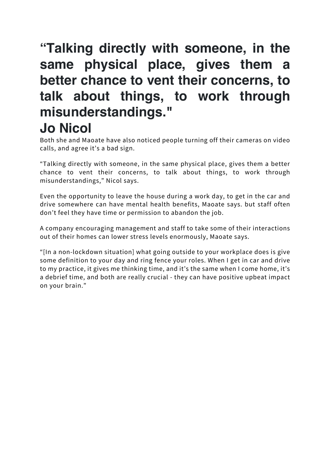### **"Talking directly with someone, in the same physical place, gives them a better chance to vent their concerns, to talk about things, to work through misunderstandings." Jo Nicol**

Both she and Maoate have also noticed people turning off their cameras on video calls, and agree it's a bad sign.

"Talking directly with someone, in the same physical place, gives them a better chance to vent their concerns, to talk about things, to work through misunderstandings," Nicol says.

Even the opportunity to leave the house during a work day, to get in the car and drive somewhere can have mental health benefits, Maoate says. but staff often don't feel they have time or permission to abandon the job.

A company encouraging management and staff to take some of their interactions out of their homes can lower stress levels enormously, Maoate says.

"[In a non-lockdown situation] what going outside to your workplace does is give some definition to your day and ring fence your roles. When I get in car and drive to my practice, it gives me thinking time, and it's the same when I come home, it's a debrief time, and both are really crucial - they can have positive upbeat impact on your brain."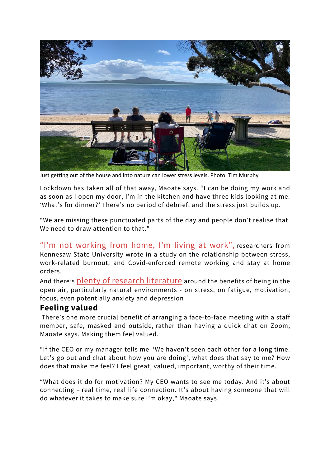

Just getting out of the house and into nature can lower stress levels. Photo: Tim Murphy

Lockdown has taken all of that away, Maoate says. "I can be doing my work and as soon as I open my door, I'm in the kitchen and have three kids looking at me. 'What's for dinner?' There's no period of debrief, and the stress just builds up.

"We are missing these punctuated parts of the day and people don't realise that. We need to draw attention to that."

"I'm not working from home, I'm living at work", researchers from Kennesaw State University wrote in a study on the relationship between stress, work-related burnout, and Covid-enforced remote working and stay at home orders.

And there's plenty of research literature around the benefits of being in the open air, particularly natural environments - on stress, on fatigue, motivation, focus, even potentially anxiety and depression

#### **Feeling valued**

There's one more crucial benefit of arranging a face-to-face meeting with a staff member, safe, masked and outside, rather than having a quick chat on Zoom, Maoate says. Making them feel valued.

"If the CEO or my manager tells me 'We haven't seen each other for a long time. Let's go out and chat about how you are doing', what does that say to me? How does that make me feel? I feel great, valued, important, worthy of their time.

"What does it do for motivation? My CEO wants to see me today. And it's about connecting – real time, real life connection. It's about having someone that will do whatever it takes to make sure I'm okay," Maoate says.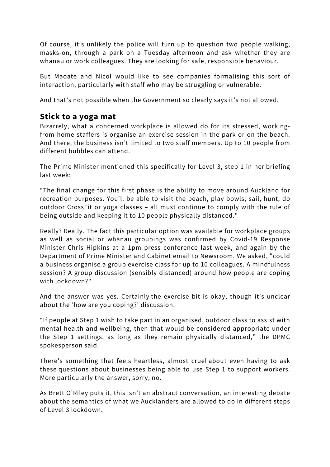Of course, it's unlikely the police will turn up to question two people walking, masks-on, through a park on a Tuesday afternoon and ask whether they are whānau or work colleagues. They are looking for safe, responsible behaviour.

But Maoate and Nicol would like to see companies formalising this sort of interaction, particularly with staff who may be struggling or vulnerable.

And that's not possible when the Government so clearly says it's not allowed.

#### **Stick to a yoga mat**

Bizarrely, what a concerned workplace is allowed do for its stressed, workingfrom-home staffers is organise an exercise session in the park or on the beach. And there, the business isn't limited to two staff members. Up to 10 people from different bubbles can attend.

The Prime Minister mentioned this specifically for Level 3, step 1 in her briefing last week:

"The final change for this first phase is the ability to move around Auckland for recreation purposes. You'll be able to visit the beach, play bowls, sail, hunt, do outdoor CrossFit or yoga classes – all must continue to comply with the rule of being outside and keeping it to 10 people physically distanced."

Really? Really. The fact this particular option was available for workplace groups as well as social or whānau groupings was confirmed by Covid-19 Response Minister Chris Hipkins at a 1pm press conference last week, and again by the Department of Prime Minister and Cabinet email to Newsroom. We asked, "could a business organise a group exercise class for up to 10 colleagues. A mindfulness session? A group discussion (sensibly distanced) around how people are coping with lockdown?"

And the answer was yes. Certainly the exercise bit is okay, though it's unclear about the 'how are you coping?' discussion.

"If people at Step 1 wish to take part in an organised, outdoor class to assist with mental health and wellbeing, then that would be considered appropriate under the Step 1 settings, as long as they remain physically distanced," the DPMC spokesperson said.

There's something that feels heartless, almost cruel about even having to ask these questions about businesses being able to use Step 1 to support workers. More particularly the answer, sorry, no.

As Brett O'Riley puts it, this isn't an abstract conversation, an interesting debate about the semantics of what we Aucklanders are allowed to do in different steps of Level 3 lockdown.